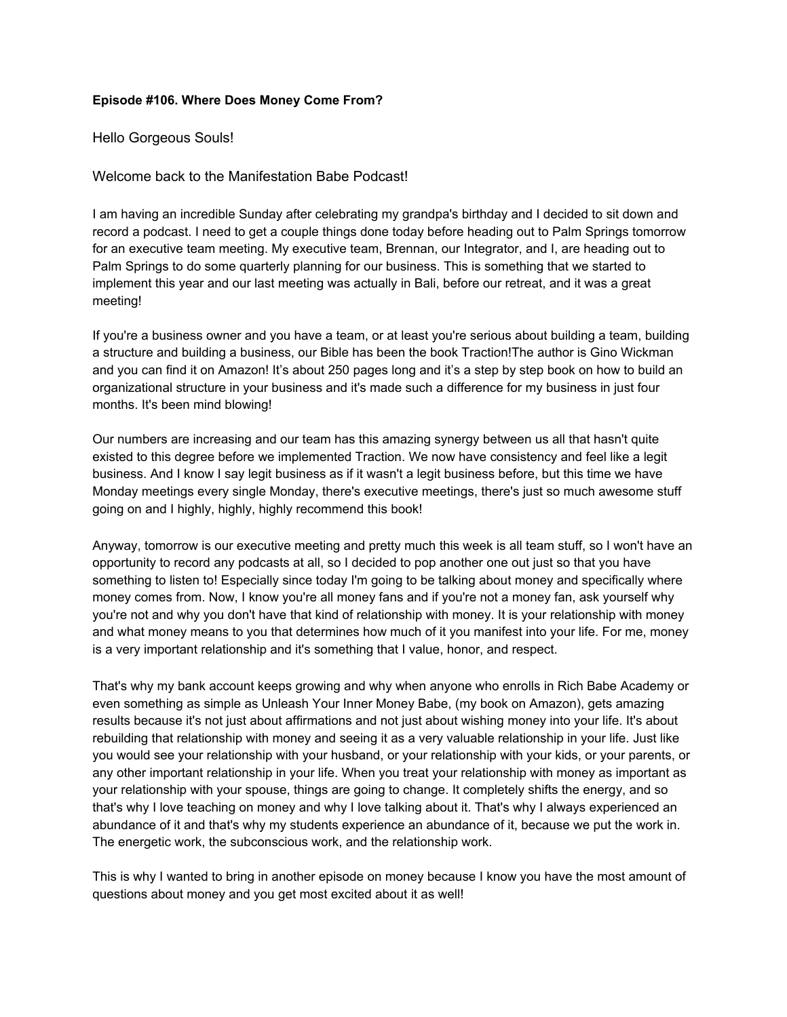## **Episode #106. Where Does Money Come From?**

Hello Gorgeous Souls!

Welcome back to the Manifestation Babe Podcast!

I am having an incredible Sunday after celebrating my grandpa's birthday and I decided to sit down and record a podcast. I need to get a couple things done today before heading out to Palm Springs tomorrow for an executive team meeting. My executive team, Brennan, our Integrator, and I, are heading out to Palm Springs to do some quarterly planning for our business. This is something that we started to implement this year and our last meeting was actually in Bali, before our retreat, and it was a great meeting!

If you're a business owner and you have a team, or at least you're serious about building a team, building a structure and building a business, our Bible has been the book Traction!The author is Gino Wickman and you can find it on Amazon! It's about 250 pages long and it's a step by step book on how to build an organizational structure in your business and it's made such a difference for my business in just four months. It's been mind blowing!

Our numbers are increasing and our team has this amazing synergy between us all that hasn't quite existed to this degree before we implemented Traction. We now have consistency and feel like a legit business. And I know I say legit business as if it wasn't a legit business before, but this time we have Monday meetings every single Monday, there's executive meetings, there's just so much awesome stuff going on and I highly, highly, highly recommend this book!

Anyway, tomorrow is our executive meeting and pretty much this week is all team stuff, so I won't have an opportunity to record any podcasts at all, so I decided to pop another one out just so that you have something to listen to! Especially since today I'm going to be talking about money and specifically where money comes from. Now, I know you're all money fans and if you're not a money fan, ask yourself why you're not and why you don't have that kind of relationship with money. It is your relationship with money and what money means to you that determines how much of it you manifest into your life. For me, money is a very important relationship and it's something that I value, honor, and respect.

That's why my bank account keeps growing and why when anyone who enrolls in Rich Babe Academy or even something as simple as Unleash Your Inner Money Babe, (my book on Amazon), gets amazing results because it's not just about affirmations and not just about wishing money into your life. It's about rebuilding that relationship with money and seeing it as a very valuable relationship in your life. Just like you would see your relationship with your husband, or your relationship with your kids, or your parents, or any other important relationship in your life. When you treat your relationship with money as important as your relationship with your spouse, things are going to change. It completely shifts the energy, and so that's why I love teaching on money and why I love talking about it. That's why I always experienced an abundance of it and that's why my students experience an abundance of it, because we put the work in. The energetic work, the subconscious work, and the relationship work.

This is why I wanted to bring in another episode on money because I know you have the most amount of questions about money and you get most excited about it as well!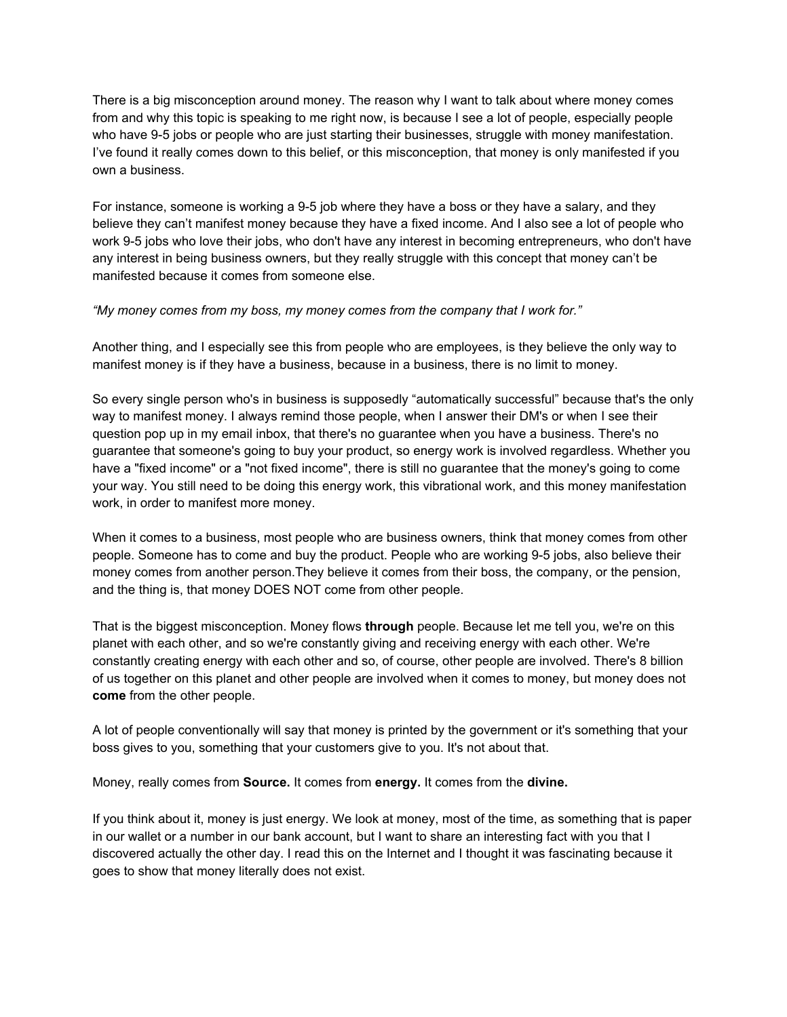There is a big misconception around money. The reason why I want to talk about where money comes from and why this topic is speaking to me right now, is because I see a lot of people, especially people who have 9-5 jobs or people who are just starting their businesses, struggle with money manifestation. I've found it really comes down to this belief, or this misconception, that money is only manifested if you own a business.

For instance, someone is working a 9-5 job where they have a boss or they have a salary, and they believe they can't manifest money because they have a fixed income. And I also see a lot of people who work 9-5 jobs who love their jobs, who don't have any interest in becoming entrepreneurs, who don't have any interest in being business owners, but they really struggle with this concept that money can't be manifested because it comes from someone else.

*"My money comes from my boss, my money comes from the company that I work for."* 

Another thing, and I especially see this from people who are employees, is they believe the only way to manifest money is if they have a business, because in a business, there is no limit to money.

So every single person who's in business is supposedly "automatically successful" because that's the only way to manifest money. I always remind those people, when I answer their DM's or when I see their question pop up in my email inbox, that there's no guarantee when you have a business. There's no guarantee that someone's going to buy your product, so energy work is involved regardless. Whether you have a "fixed income" or a "not fixed income", there is still no guarantee that the money's going to come your way. You still need to be doing this energy work, this vibrational work, and this money manifestation work, in order to manifest more money.

When it comes to a business, most people who are business owners, think that money comes from other people. Someone has to come and buy the product. People who are working 9-5 jobs, also believe their money comes from another person.They believe it comes from their boss, the company, or the pension, and the thing is, that money DOES NOT come from other people.

That is the biggest misconception. Money flows **through** people. Because let me tell you, we're on this planet with each other, and so we're constantly giving and receiving energy with each other. We're constantly creating energy with each other and so, of course, other people are involved. There's 8 billion of us together on this planet and other people are involved when it comes to money, but money does not **come** from the other people.

A lot of people conventionally will say that money is printed by the government or it's something that your boss gives to you, something that your customers give to you. It's not about that.

Money, really comes from **Source.** It comes from **energy.** It comes from the **divine.** 

If you think about it, money is just energy. We look at money, most of the time, as something that is paper in our wallet or a number in our bank account, but I want to share an interesting fact with you that I discovered actually the other day. I read this on the Internet and I thought it was fascinating because it goes to show that money literally does not exist.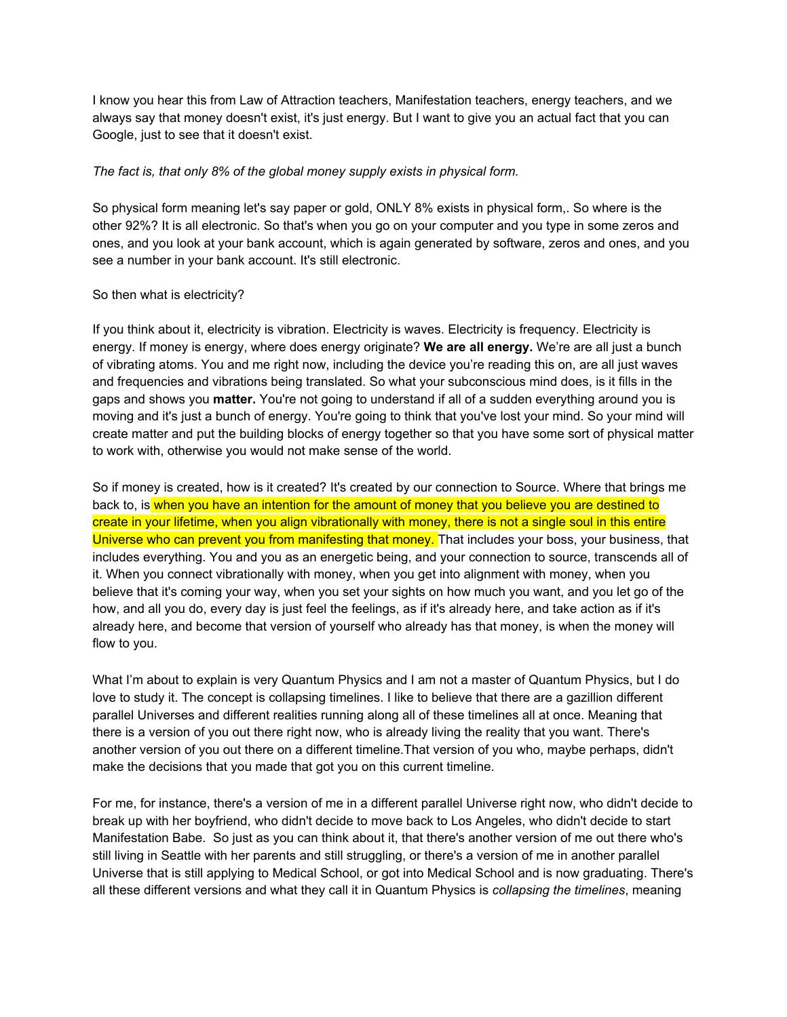I know you hear this from Law of Attraction teachers, Manifestation teachers, energy teachers, and we always say that money doesn't exist, it's just energy. But I want to give you an actual fact that you can Google, just to see that it doesn't exist.

## *The fact is, that only 8% of the global money supply exists in physical form.*

So physical form meaning let's say paper or gold, ONLY 8% exists in physical form,. So where is the other 92%? It is all electronic. So that's when you go on your computer and you type in some zeros and ones, and you look at your bank account, which is again generated by software, zeros and ones, and you see a number in your bank account. It's still electronic.

## So then what is electricity?

If you think about it, electricity is vibration. Electricity is waves. Electricity is frequency. Electricity is energy. If money is energy, where does energy originate? **We are all energy.** We're are all just a bunch of vibrating atoms. You and me right now, including the device you're reading this on, are all just waves and frequencies and vibrations being translated. So what your subconscious mind does, is it fills in the gaps and shows you **matter.** You're not going to understand if all of a sudden everything around you is moving and it's just a bunch of energy. You're going to think that you've lost your mind. So your mind will create matter and put the building blocks of energy together so that you have some sort of physical matter to work with, otherwise you would not make sense of the world.

So if money is created, how is it created? It's created by our connection to Source. Where that brings me back to, is when you have an intention for the amount of money that you believe you are destined to create in your lifetime, when you align vibrationally with money, there is not a single soul in this entire Universe who can prevent you from manifesting that money. That includes your boss, your business, that includes everything. You and you as an energetic being, and your connection to source, transcends all of it. When you connect vibrationally with money, when you get into alignment with money, when you believe that it's coming your way, when you set your sights on how much you want, and you let go of the how, and all you do, every day is just feel the feelings, as if it's already here, and take action as if it's already here, and become that version of yourself who already has that money, is when the money will flow to you.

What I'm about to explain is very Quantum Physics and I am not a master of Quantum Physics, but I do love to study it. The concept is collapsing timelines. I like to believe that there are a gazillion different parallel Universes and different realities running along all of these timelines all at once. Meaning that there is a version of you out there right now, who is already living the reality that you want. There's another version of you out there on a different timeline.That version of you who, maybe perhaps, didn't make the decisions that you made that got you on this current timeline.

For me, for instance, there's a version of me in a different parallel Universe right now, who didn't decide to break up with her boyfriend, who didn't decide to move back to Los Angeles, who didn't decide to start Manifestation Babe. So just as you can think about it, that there's another version of me out there who's still living in Seattle with her parents and still struggling, or there's a version of me in another parallel Universe that is still applying to Medical School, or got into Medical School and is now graduating. There's all these different versions and what they call it in Quantum Physics is *collapsing the timelines*, meaning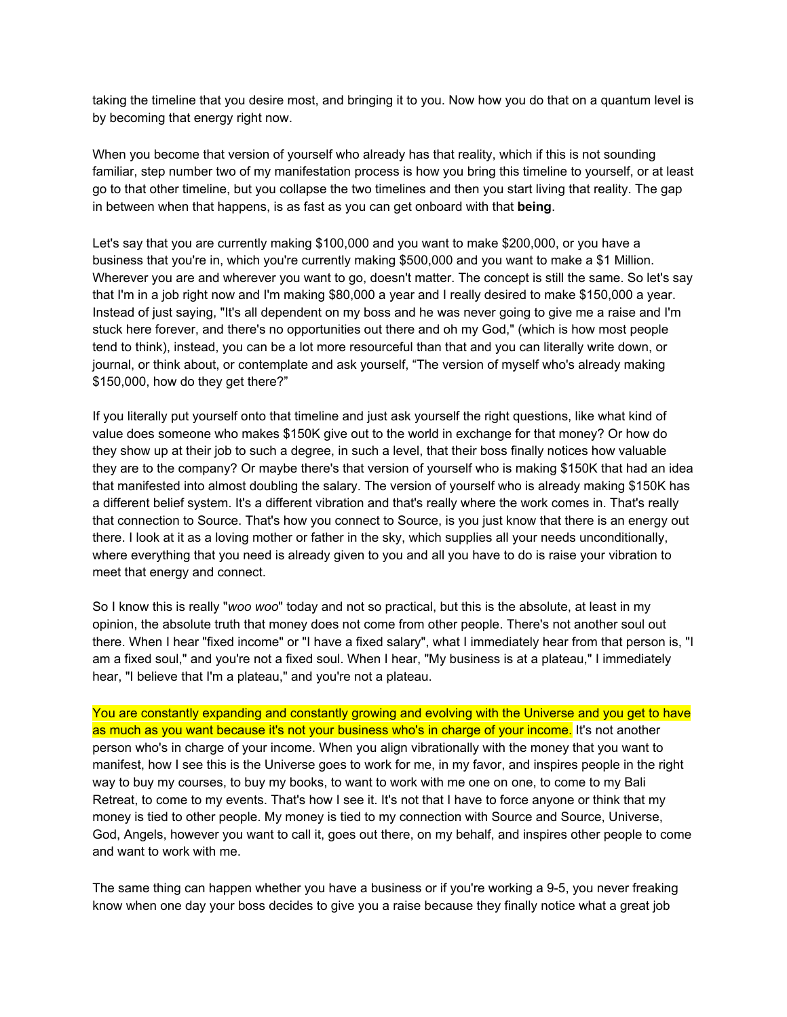taking the timeline that you desire most, and bringing it to you. Now how you do that on a quantum level is by becoming that energy right now.

When you become that version of yourself who already has that reality, which if this is not sounding familiar, step number two of my manifestation process is how you bring this timeline to yourself, or at least go to that other timeline, but you collapse the two timelines and then you start living that reality. The gap in between when that happens, is as fast as you can get onboard with that **being**.

Let's say that you are currently making \$100,000 and you want to make \$200,000, or you have a business that you're in, which you're currently making \$500,000 and you want to make a \$1 Million. Wherever you are and wherever you want to go, doesn't matter. The concept is still the same. So let's say that I'm in a job right now and I'm making \$80,000 a year and I really desired to make \$150,000 a year. Instead of just saying, "It's all dependent on my boss and he was never going to give me a raise and I'm stuck here forever, and there's no opportunities out there and oh my God," (which is how most people tend to think), instead, you can be a lot more resourceful than that and you can literally write down, or journal, or think about, or contemplate and ask yourself, "The version of myself who's already making \$150,000, how do they get there?"

If you literally put yourself onto that timeline and just ask yourself the right questions, like what kind of value does someone who makes \$150K give out to the world in exchange for that money? Or how do they show up at their job to such a degree, in such a level, that their boss finally notices how valuable they are to the company? Or maybe there's that version of yourself who is making \$150K that had an idea that manifested into almost doubling the salary. The version of yourself who is already making \$150K has a different belief system. It's a different vibration and that's really where the work comes in. That's really that connection to Source. That's how you connect to Source, is you just know that there is an energy out there. I look at it as a loving mother or father in the sky, which supplies all your needs unconditionally, where everything that you need is already given to you and all you have to do is raise your vibration to meet that energy and connect.

So I know this is really "*woo woo*" today and not so practical, but this is the absolute, at least in my opinion, the absolute truth that money does not come from other people. There's not another soul out there. When I hear "fixed income" or "I have a fixed salary", what I immediately hear from that person is, "I am a fixed soul," and you're not a fixed soul. When I hear, "My business is at a plateau," I immediately hear, "I believe that I'm a plateau," and you're not a plateau.

You are constantly expanding and constantly growing and evolving with the Universe and you get to have as much as you want because it's not your business who's in charge of your income. It's not another person who's in charge of your income. When you align vibrationally with the money that you want to manifest, how I see this is the Universe goes to work for me, in my favor, and inspires people in the right way to buy my courses, to buy my books, to want to work with me one on one, to come to my Bali Retreat, to come to my events. That's how I see it. It's not that I have to force anyone or think that my money is tied to other people. My money is tied to my connection with Source and Source, Universe, God, Angels, however you want to call it, goes out there, on my behalf, and inspires other people to come and want to work with me.

The same thing can happen whether you have a business or if you're working a 9-5, you never freaking know when one day your boss decides to give you a raise because they finally notice what a great job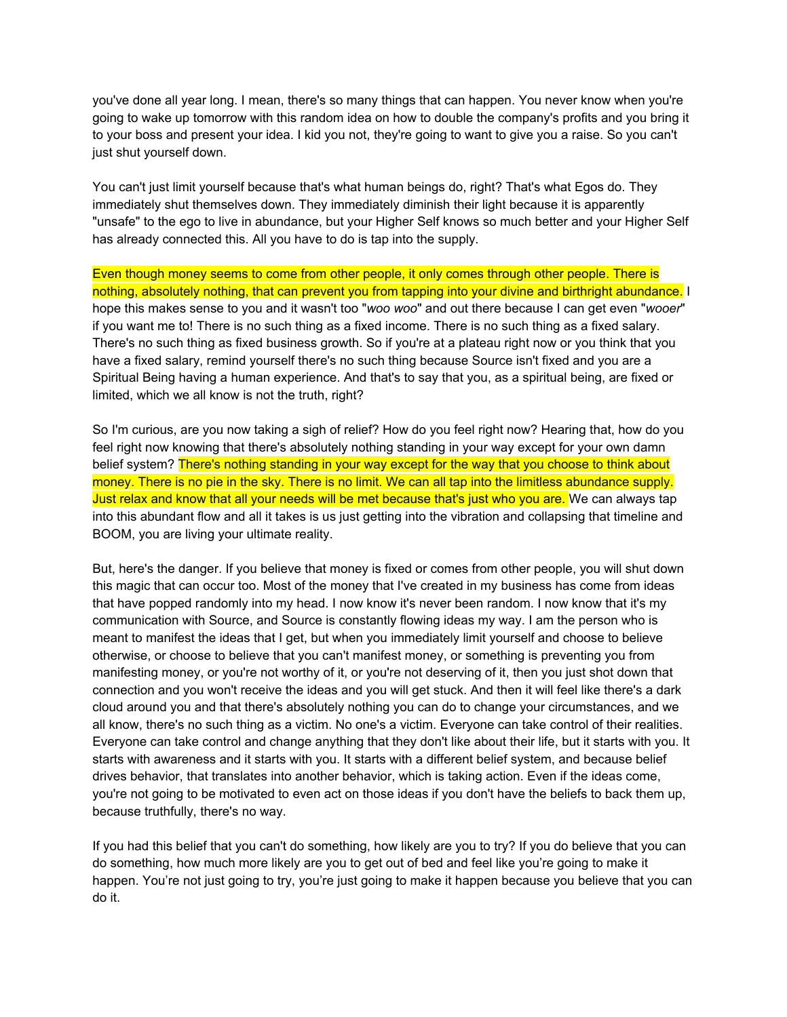you've done all year long. I mean, there's so many things that can happen. You never know when you're going to wake up tomorrow with this random idea on how to double the company's profits and you bring it to your boss and present your idea. I kid you not, they're going to want to give you a raise. So you can't just shut yourself down.

You can't just limit yourself because that's what human beings do, right? That's what Egos do. They immediately shut themselves down. They immediately diminish their light because it is apparently "unsafe" to the ego to live in abundance, but your Higher Self knows so much better and your Higher Self has already connected this. All you have to do is tap into the supply.

Even though money seems to come from other people, it only comes through other people. There is nothing, absolutely nothing, that can prevent you from tapping into your divine and birthright abundance. I hope this makes sense to you and it wasn't too "*woo woo*" and out there because I can get even "*wooer*" if you want me to! There is no such thing as a fixed income. There is no such thing as a fixed salary. There's no such thing as fixed business growth. So if you're at a plateau right now or you think that you have a fixed salary, remind yourself there's no such thing because Source isn't fixed and you are a Spiritual Being having a human experience. And that's to say that you, as a spiritual being, are fixed or limited, which we all know is not the truth, right?

So I'm curious, are you now taking a sigh of relief? How do you feel right now? Hearing that, how do you feel right now knowing that there's absolutely nothing standing in your way except for your own damn belief system? There's nothing standing in your way except for the way that you choose to think about money. There is no pie in the sky. There is no limit. We can all tap into the limitless abundance supply. Just relax and know that all your needs will be met because that's just who you are. We can always tap into this abundant flow and all it takes is us just getting into the vibration and collapsing that timeline and BOOM, you are living your ultimate reality.

But, here's the danger. If you believe that money is fixed or comes from other people, you will shut down this magic that can occur too. Most of the money that I've created in my business has come from ideas that have popped randomly into my head. I now know it's never been random. I now know that it's my communication with Source, and Source is constantly flowing ideas my way. I am the person who is meant to manifest the ideas that I get, but when you immediately limit yourself and choose to believe otherwise, or choose to believe that you can't manifest money, or something is preventing you from manifesting money, or you're not worthy of it, or you're not deserving of it, then you just shot down that connection and you won't receive the ideas and you will get stuck. And then it will feel like there's a dark cloud around you and that there's absolutely nothing you can do to change your circumstances, and we all know, there's no such thing as a victim. No one's a victim. Everyone can take control of their realities. Everyone can take control and change anything that they don't like about their life, but it starts with you. It starts with awareness and it starts with you. It starts with a different belief system, and because belief drives behavior, that translates into another behavior, which is taking action. Even if the ideas come, you're not going to be motivated to even act on those ideas if you don't have the beliefs to back them up, because truthfully, there's no way.

If you had this belief that you can't do something, how likely are you to try? If you do believe that you can do something, how much more likely are you to get out of bed and feel like you're going to make it happen. You're not just going to try, you're just going to make it happen because you believe that you can do it.